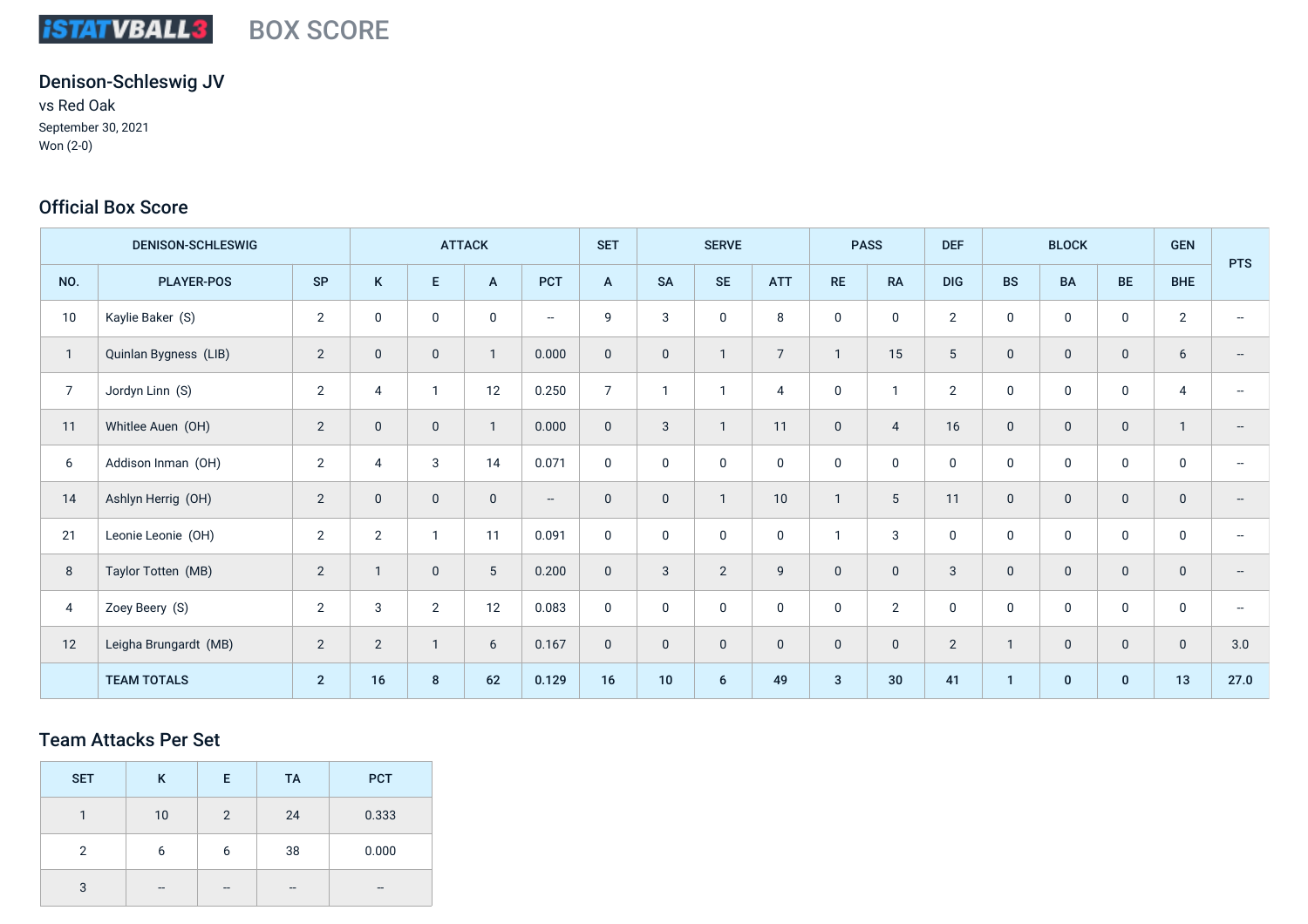#### **iSTATVBALL3** BOX SCORE

# Denison-Schleswig JV vs Red Oak

September 30, 2021 Won (2-0)

# Official Box Score

| <b>DENISON-SCHLESWIG</b> |                       | <b>ATTACK</b>  |                |                | <b>SET</b>     | <b>SERVE</b>             |                | <b>PASS</b>  |                | <b>DEF</b>     | <b>BLOCK</b>   |                | <b>GEN</b>     | <b>PTS</b>   |              |              |              |      |
|--------------------------|-----------------------|----------------|----------------|----------------|----------------|--------------------------|----------------|--------------|----------------|----------------|----------------|----------------|----------------|--------------|--------------|--------------|--------------|------|
| NO.                      | <b>PLAYER-POS</b>     | <b>SP</b>      | $\mathsf K$    | $\mathsf{E}$   | A              | <b>PCT</b>               | A              | <b>SA</b>    | <b>SE</b>      | <b>ATT</b>     | <b>RE</b>      | <b>RA</b>      | <b>DIG</b>     | <b>BS</b>    | <b>BA</b>    | <b>BE</b>    | <b>BHE</b>   |      |
| 10                       | Kaylie Baker (S)      | $\overline{2}$ | $\mathbf 0$    | $\mathbf 0$    | $\mathbf 0$    | $\overline{\phantom{a}}$ | 9              | 3            | $\mathbf 0$    | 8              | $\mathbf 0$    | $\mathbf 0$    | $\overline{2}$ | $\mathbf 0$  | $\mathbf 0$  | $\mathbf 0$  | 2            |      |
| $\mathbf{1}$             | Quinlan Bygness (LIB) | $\overline{2}$ | $\mathbf 0$    | $\mathbf 0$    | $\mathbf{1}$   | 0.000                    | $\mathbf 0$    | $\mathbf 0$  | $\mathbf{1}$   | $\overline{7}$ | $\mathbf{1}$   | 15             | 5              | $\mathbf 0$  | $\mathbf 0$  | $\mathbf 0$  | 6            |      |
| $\boldsymbol{7}$         | Jordyn Linn (S)       | $\overline{2}$ | $\overline{4}$ | $\mathbf{1}$   | 12             | 0.250                    | $\overline{7}$ | $\mathbf{1}$ | $\mathbf{1}$   | $\overline{4}$ | $\pmb{0}$      | $\mathbf{1}$   | 2              | $\mathbf 0$  | $\pmb{0}$    | 0            | 4            |      |
| 11                       | Whitlee Auen (OH)     | $\overline{2}$ | $\mathbf 0$    | $\mathbf 0$    | $\overline{1}$ | 0.000                    | $\mathbf 0$    | 3            | $\overline{1}$ | 11             | $\mathbf 0$    | $\overline{4}$ | 16             | $\mathbf{0}$ | $\mathbf{0}$ | $\mathbf 0$  | $\mathbf{1}$ |      |
| 6                        | Addison Inman (OH)    | $\mathbf{2}$   | $\overline{4}$ | 3              | 14             | 0.071                    | $\mathbf 0$    | $\mathbf 0$  | $\mathbf 0$    | $\mathbf 0$    | $\mathbf 0$    | $\mathbf 0$    | $\mathbf 0$    | $\mathbf 0$  | $\mathbf 0$  | $\pmb{0}$    | $\pmb{0}$    |      |
| 14                       | Ashlyn Herrig (OH)    | $\mathbf{2}$   | $\mathbf 0$    | $\mathbf 0$    | $\mathbf 0$    | $\overline{\phantom{a}}$ | $\pmb{0}$      | $\mathbf 0$  |                | 10             | $\overline{1}$ | $\sqrt{5}$     | 11             | $\mathbf 0$  | $\mathbf 0$  | $\mathbf 0$  | $\mathbf 0$  |      |
| 21                       | Leonie Leonie (OH)    | $\overline{2}$ | $\mathbf{2}$   | $\mathbf{1}$   | 11             | 0.091                    | $\pmb{0}$      | $\mathbf 0$  | $\mathbf 0$    | $\mathbf 0$    | $\mathbf{1}$   | 3              | $\mathbf 0$    | $\mathbf 0$  | $\mathbf 0$  | 0            | $\mathbf 0$  |      |
| 8                        | Taylor Totten (MB)    | $\overline{2}$ | $\mathbf{1}$   | $\mathbf 0$    | $\sqrt{5}$     | 0.200                    | $\pmb{0}$      | 3            | 2              | 9              | $\mathbf 0$    | $\mathbf 0$    | 3              | $\mathbf 0$  | $\mathbf 0$  | $\mathbf 0$  | $\mathbf 0$  |      |
| $\overline{4}$           | Zoey Beery (S)        | $\overline{2}$ | 3              | $\overline{2}$ | 12             | 0.083                    | $\pmb{0}$      | $\pmb{0}$    | $\mathbf 0$    | $\mathbf 0$    | $\mathbf 0$    | $\overline{2}$ | $\mathbf 0$    | $\mathbf 0$  | $\mathbf 0$  | $\mathbf 0$  | $\mathbf 0$  |      |
| 12                       | Leigha Brungardt (MB) | $\overline{2}$ | $\overline{2}$ | $\mathbf{1}$   | 6              | 0.167                    | $\pmb{0}$      | $\mathbf 0$  | $\mathbf{0}$   | $\mathbf 0$    | $\mathbf 0$    | $\mathbf 0$    | $\mathbf{2}$   | $\mathbf{1}$ | $\mathbf 0$  | $\mathbf 0$  | $\mathbf 0$  | 3.0  |
|                          | <b>TEAM TOTALS</b>    | $2^{\circ}$    | 16             | 8              | 62             | 0.129                    | 16             | 10           | 6              | 49             | 3              | 30             | 41             | $\mathbf{1}$ | $\mathbf{0}$ | $\mathbf{0}$ | 13           | 27.0 |

### Team Attacks Per Set

| <b>SET</b>     | K   | Е   | <b>TA</b>                | <b>PCT</b> |
|----------------|-----|-----|--------------------------|------------|
|                | 10  | 2   | 24                       | 0.333      |
| $\overline{2}$ | 6   | 6   | 38                       | 0.000      |
| 3              | $-$ | $-$ | $\overline{\phantom{a}}$ | --         |